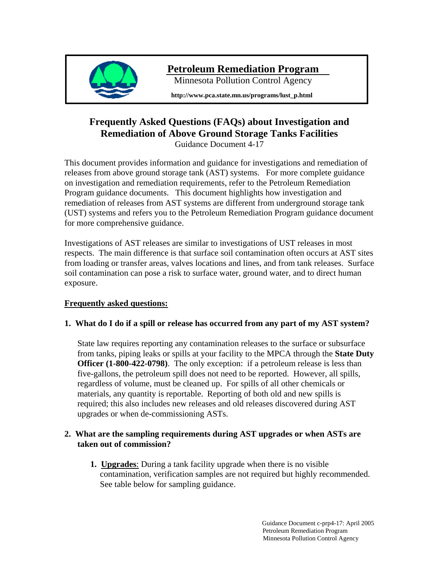

# **Petroleum Remediation Program**

Minnesota Pollution Control Agency

**http://www.pca.state.mn.us/programs/lust\_p.html** 

# **Frequently Asked Questions (FAQs) about Investigation and Remediation of Above Ground Storage Tanks Facilities**

Guidance Document 4-17

This document provides information and guidance for investigations and remediation of releases from above ground storage tank (AST) systems. For more complete guidance on investigation and remediation requirements, refer to the Petroleum Remediation Program guidance documents. This document highlights how investigation and remediation of releases from AST systems are different from underground storage tank (UST) systems and refers you to the Petroleum Remediation Program guidance document for more comprehensive guidance.

Investigations of AST releases are similar to investigations of UST releases in most respects. The main difference is that surface soil contamination often occurs at AST sites from loading or transfer areas, valves locations and lines, and from tank releases. Surface soil contamination can pose a risk to surface water, ground water, and to direct human exposure.

# **Frequently asked questions:**

# **1. What do I do if a spill or release has occurred from any part of my AST system?**

State law requires reporting any contamination releases to the surface or subsurface from tanks, piping leaks or spills at your facility to the MPCA through the **State Duty Officer (1-800-422-0798)**. The only exception: if a petroleum release is less than five-gallons, the petroleum spill does not need to be reported. However, all spills, regardless of volume, must be cleaned up. For spills of all other chemicals or materials, any quantity is reportable. Reporting of both old and new spills is required; this also includes new releases and old releases discovered during AST upgrades or when de-commissioning ASTs.

### **2. What are the sampling requirements during AST upgrades or when ASTs are taken out of commission?**

**1. Upgrades**: During a tank facility upgrade when there is no visible contamination, verification samples are not required but highly recommended. See table below for sampling guidance.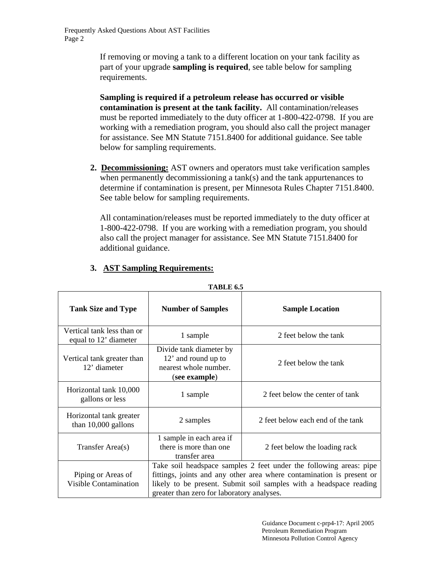Frequently Asked Questions About AST Facilities Page 2

> If removing or moving a tank to a different location on your tank facility as part of your upgrade **sampling is required**, see table below for sampling requirements.

**Sampling is required if a petroleum release has occurred or visible contamination is present at the tank facility.** All contamination/releases must be reported immediately to the duty officer at 1-800-422-0798. If you are working with a remediation program, you should also call the project manager for assistance. See MN Statute 7151.8400 for additional guidance. See table below for sampling requirements.

**2. Decommissioning:** AST owners and operators must take verification samples when permanently decommissioning a tank(s) and the tank appurtenances to determine if contamination is present, per Minnesota Rules Chapter 7151.8400. See table below for sampling requirements.

All contamination/releases must be reported immediately to the duty officer at 1-800-422-0798. If you are working with a remediation program, you should also call the project manager for assistance. See MN Statute 7151.8400 for additional guidance.

| 1 ADLE 0.5                                          |                                                                                                                                                                                                                                                                 |                                   |  |
|-----------------------------------------------------|-----------------------------------------------------------------------------------------------------------------------------------------------------------------------------------------------------------------------------------------------------------------|-----------------------------------|--|
| <b>Tank Size and Type</b>                           | <b>Number of Samples</b>                                                                                                                                                                                                                                        | <b>Sample Location</b>            |  |
| Vertical tank less than or<br>equal to 12' diameter | 1 sample                                                                                                                                                                                                                                                        | 2 feet below the tank             |  |
| Vertical tank greater than<br>12' diameter          | Divide tank diameter by<br>12' and round up to<br>nearest whole number.<br>(see example)                                                                                                                                                                        | 2 feet below the tank             |  |
| Horizontal tank 10,000<br>gallons or less           | 1 sample                                                                                                                                                                                                                                                        | 2 feet below the center of tank   |  |
| Horizontal tank greater<br>than $10,000$ gallons    | 2 samples                                                                                                                                                                                                                                                       | 2 feet below each end of the tank |  |
| Transfer Area(s)                                    | 1 sample in each area if<br>there is more than one<br>transfer area                                                                                                                                                                                             | 2 feet below the loading rack     |  |
| Piping or Areas of<br><b>Visible Contamination</b>  | Take soil headspace samples 2 feet under the following areas: pipe<br>fittings, joints and any other area where contamination is present or<br>likely to be present. Submit soil samples with a headspace reading<br>greater than zero for laboratory analyses. |                                   |  |

### **3. AST Sampling Requirements:**

**TABLE 6.5** 

 Guidance Document c-prp4-17: April 2005 Petroleum Remediation Program Minnesota Pollution Control Agency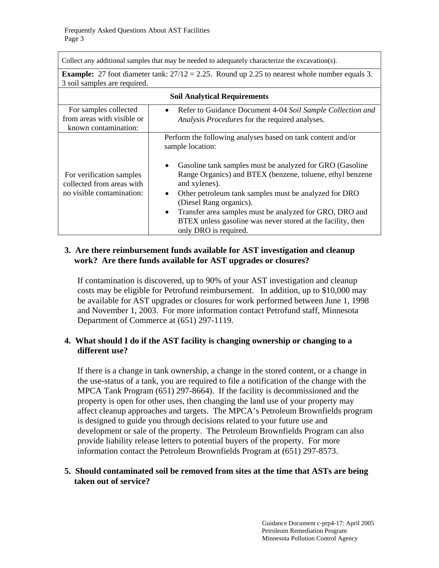Collect any additional samples that may be needed to adequately characterize the excavation(s).

**Example:** 27 foot diameter tank:  $27/12 = 2.25$ . Round up 2.25 to nearest whole number equals 3. 3 soil samples are required.

| <b>Soil Analytical Requirements</b>                                                |                                                                                                                                                                                                                                                                                                                                                                                                                                                                                                         |  |
|------------------------------------------------------------------------------------|---------------------------------------------------------------------------------------------------------------------------------------------------------------------------------------------------------------------------------------------------------------------------------------------------------------------------------------------------------------------------------------------------------------------------------------------------------------------------------------------------------|--|
| For samples collected<br>from areas with visible or<br>known contamination:        | • Refer to Guidance Document 4-04 Soil Sample Collection and<br>Analysis Procedures for the required analyses.                                                                                                                                                                                                                                                                                                                                                                                          |  |
| For verification samples<br>collected from areas with<br>no visible contamination: | Perform the following analyses based on tank content and/or<br>sample location:<br>Gasoline tank samples must be analyzed for GRO (Gasoline<br>$\bullet$<br>Range Organics) and BTEX (benzene, toluene, ethyl benzene<br>and xylenes).<br>Other petroleum tank samples must be analyzed for DRO<br>$\bullet$<br>(Diesel Rang organics).<br>Transfer area samples must be analyzed for GRO, DRO and<br>$\bullet$<br>BTEX unless gasoline was never stored at the facility, then<br>only DRO is required. |  |

### **3. Are there reimbursement funds available for AST investigation and cleanup work? Are there funds available for AST upgrades or closures?**

If contamination is discovered, up to 90% of your AST investigation and cleanup costs may be eligible for Petrofund reimbursement. In addition, up to \$10,000 may be available for AST upgrades or closures for work performed between June 1, 1998 and November 1, 2003. For more information contact Petrofund staff, Minnesota Department of Commerce at (651) 297-1119.

#### **4. What should I do if the AST facility is changing ownership or changing to a different use?**

If there is a change in tank ownership, a change in the stored content, or a change in the use-status of a tank, you are required to file a notification of the change with the MPCA Tank Program (651) 297-8664). If the facility is decommissioned and the property is open for other uses, then changing the land use of your property may affect cleanup approaches and targets. The MPCA's Petroleum Brownfields program is designed to guide you through decisions related to your future use and development or sale of the property. The Petroleum Brownfields Program can also provide liability release letters to potential buyers of the property. For more information contact the Petroleum Brownfields Program at (651) 297-8573.

### **5. Should contaminated soil be removed from sites at the time that ASTs are being taken out of service?**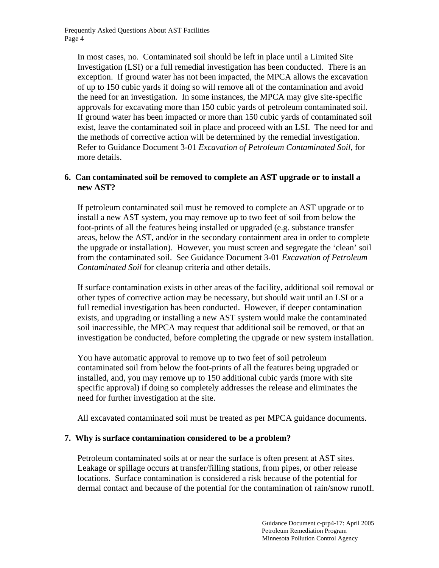In most cases, no. Contaminated soil should be left in place until a Limited Site Investigation (LSI) or a full remedial investigation has been conducted. There is an exception. If ground water has not been impacted, the MPCA allows the excavation of up to 150 cubic yards if doing so will remove all of the contamination and avoid the need for an investigation. In some instances, the MPCA may give site-specific approvals for excavating more than 150 cubic yards of petroleum contaminated soil. If ground water has been impacted or more than 150 cubic yards of contaminated soil exist, leave the contaminated soil in place and proceed with an LSI. The need for and the methods of corrective action will be determined by the remedial investigation. Refer to Guidance Document 3-01 *Excavation of Petroleum Contaminated Soil*, for more details.

#### **6. Can contaminated soil be removed to complete an AST upgrade or to install a new AST?**

If petroleum contaminated soil must be removed to complete an AST upgrade or to install a new AST system, you may remove up to two feet of soil from below the foot-prints of all the features being installed or upgraded (e.g. substance transfer areas, below the AST, and/or in the secondary containment area in order to complete the upgrade or installation). However, you must screen and segregate the 'clean' soil from the contaminated soil. See Guidance Document 3-01 *Excavation of Petroleum Contaminated Soil* for cleanup criteria and other details.

If surface contamination exists in other areas of the facility, additional soil removal or other types of corrective action may be necessary, but should wait until an LSI or a full remedial investigation has been conducted. However, if deeper contamination exists, and upgrading or installing a new AST system would make the contaminated soil inaccessible, the MPCA may request that additional soil be removed, or that an investigation be conducted, before completing the upgrade or new system installation.

You have automatic approval to remove up to two feet of soil petroleum contaminated soil from below the foot-prints of all the features being upgraded or installed, and, you may remove up to 150 additional cubic yards (more with site specific approval) if doing so completely addresses the release and eliminates the need for further investigation at the site.

All excavated contaminated soil must be treated as per MPCA guidance documents.

#### **7. Why is surface contamination considered to be a problem?**

Petroleum contaminated soils at or near the surface is often present at AST sites. Leakage or spillage occurs at transfer/filling stations, from pipes, or other release locations. Surface contamination is considered a risk because of the potential for dermal contact and because of the potential for the contamination of rain/snow runoff.